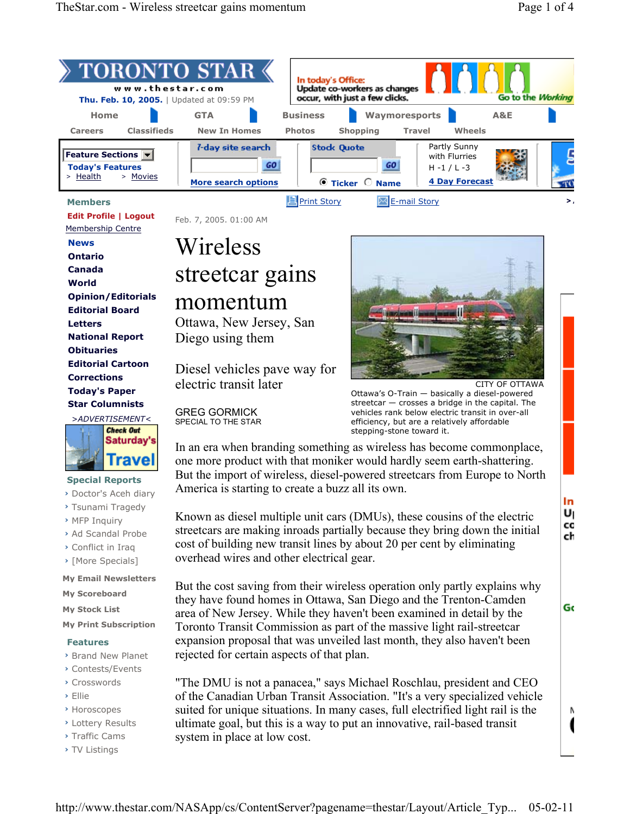| $\rightarrow$ TORONTO STAR $\leftarrow$<br>www.thestar.com<br><b>Thu. Feb. 10, 2005.</b>   Updated at 09:59 PM |                                                                      | In today's Office:<br>Update co-workers as changes<br>occur, with just a few clicks.<br>Go to the Working                                          |    |
|----------------------------------------------------------------------------------------------------------------|----------------------------------------------------------------------|----------------------------------------------------------------------------------------------------------------------------------------------------|----|
| Home<br><b>Classifieds</b><br><b>Careers</b>                                                                   | <b>GTA</b><br><b>New In Homes</b>                                    | <b>Business</b><br>Waymoresports<br>A&E<br>Wheels<br><b>Photos</b><br><b>Travel</b>                                                                |    |
| <b>Feature Sections v</b><br><b>Today's Features</b><br>> Health<br>> Movies                                   | <i>l</i> -day site search<br><b>GO</b><br><b>More search options</b> | Shopping<br>Partly Sunny<br><b>Stock Quote</b><br>with Flurries<br>GO<br>$H - 1 / L - 3$<br><b>4 Day Forecast</b><br>$\bullet$ Ticker $\circ$ Name |    |
| <b>Members</b>                                                                                                 |                                                                      | <b>E</b> Print Story<br><b>E-mail Story</b>                                                                                                        | ⋗. |

 **Edit Profile | Logout** 

Membership Centre

 **News Ontario Canada World Opinion/Editorials Editorial Board Letters National Report Obituaries Editorial Cartoon Corrections Today's Paper Star Columnists**



## **Special Reports**

- **›** Doctor's Aceh diary
- **›** Tsunami Tragedy
- **›** MFP Inquiry
- **›** Ad Scandal Probe
- **›** Conflict in Iraq
- **›** [More Specials]

**My Email Newsletters**

- **My Scoreboard**
- **My Stock List**
- **My Print Subscription**

## **Features**

- **›** Brand New Planet
- **›** Contests/Events
- **›** Crosswords
- **›** Ellie
- **›** Horoscopes
- **›** Lottery Results
- **›** Traffic Cams
- **›** TV Listings

Feb. 7, 2005. 01:00 AM

# Wireless streetcar gains momentum

Ottawa, New Jersey, San Diego using them

Diesel vehicles pave way for electric transit later

GREG GORMICK SPECIAL TO THE STAR

In an era when branding something as wireless has become commonplace, one more product with that moniker would hardly seem earth-shattering. But the import of wireless, diesel-powered streetcars from Europe to North America is starting to create a buzz all its own.

Known as diesel multiple unit cars (DMUs), these cousins of the electric streetcars are making inroads partially because they bring down the initial cost of building new transit lines by about 20 per cent by eliminating overhead wires and other electrical gear.

But the cost saving from their wireless operation only partly explains why they have found homes in Ottawa, San Diego and the Trenton-Camden area of New Jersey. While they haven't been examined in detail by the Toronto Transit Commission as part of the massive light rail-streetcar expansion proposal that was unveiled last month, they also haven't been rejected for certain aspects of that plan.

"The DMU is not a panacea," says Michael Roschlau, president and CEO of the Canadian Urban Transit Association. "It's a very specialized vehicle suited for unique situations. In many cases, full electrified light rail is the ultimate goal, but this is a way to put an innovative, rail-based transit system in place at low cost.



CITY OF OTTAWA Ottawa's O-Train — basically a diesel-powered streetcar — crosses a bridge in the capital. The vehicles rank below electric transit in over-all efficiency, but are a relatively affordable stepping-stone toward it.

Gc

Ν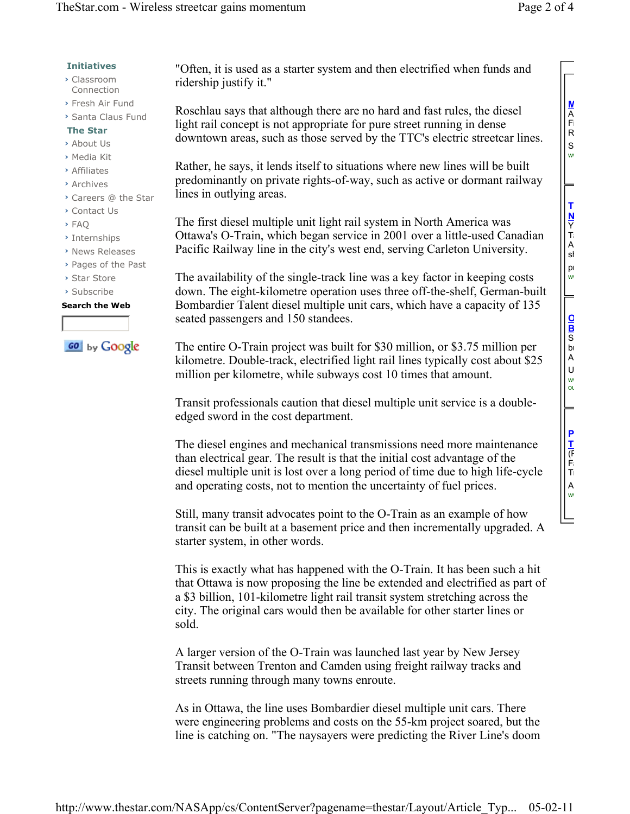- **›** Classroom Connection
- **›** Fresh Air Fund
- **›** Santa Claus Fund

### **The Star**

- **›** About Us
- **›** Media Kit
- **›** Affiliates
- **›** Archives
- **›** Careers @ the Star
- **›** Contact Us
- **›** FAQ
- **›** Internships
- **›** News Releases
- **›** Pages of the Past
- **›** Star Store
- **›** Subscribe

#### **Search the Web**

**GO** by Google

"Often, it is used as a starter system and then electrified when funds and ridership justify it."

Roschlau says that although there are no hard and fast rules, the diesel light rail concept is not appropriate for pure street running in dense downtown areas, such as those served by the TTC's electric streetcar lines.

Rather, he says, it lends itself to situations where new lines will be built predominantly on private rights-of-way, such as active or dormant railway lines in outlying areas.

The first diesel multiple unit light rail system in North America was Ottawa's O-Train, which began service in 2001 over a little-used Canadian Pacific Railway line in the city's west end, serving Carleton University.

The availability of the single-track line was a key factor in keeping costs down. The eight-kilometre operation uses three off-the-shelf, German-built Bombardier Talent diesel multiple unit cars, which have a capacity of 135 seated passengers and 150 standees.

The entire O-Train project was built for \$30 million, or \$3.75 million per kilometre. Double-track, electrified light rail lines typically cost about \$25 million per kilometre, while subways cost 10 times that amount.

Transit professionals caution that diesel multiple unit service is a doubleedged sword in the cost department.

The diesel engines and mechanical transmissions need more maintenance than electrical gear. The result is that the initial cost advantage of the diesel multiple unit is lost over a long period of time due to high life-cycle and operating costs, not to mention the uncertainty of fuel prices.

Still, many transit advocates point to the O-Train as an example of how transit can be built at a basement price and then incrementally upgraded. A starter system, in other words.

This is exactly what has happened with the O-Train. It has been such a hit that Ottawa is now proposing the line be extended and electrified as part of a \$3 billion, 101-kilometre light rail transit system stretching across the city. The original cars would then be available for other starter lines or sold.

A larger version of the O-Train was launched last year by New Jersey Transit between Trenton and Camden using freight railway tracks and streets running through many towns enroute.

As in Ottawa, the line uses Bombardier diesel multiple unit cars. There were engineering problems and costs on the 55-km project soared, but the line is catching on. "The naysayers were predicting the River Line's doom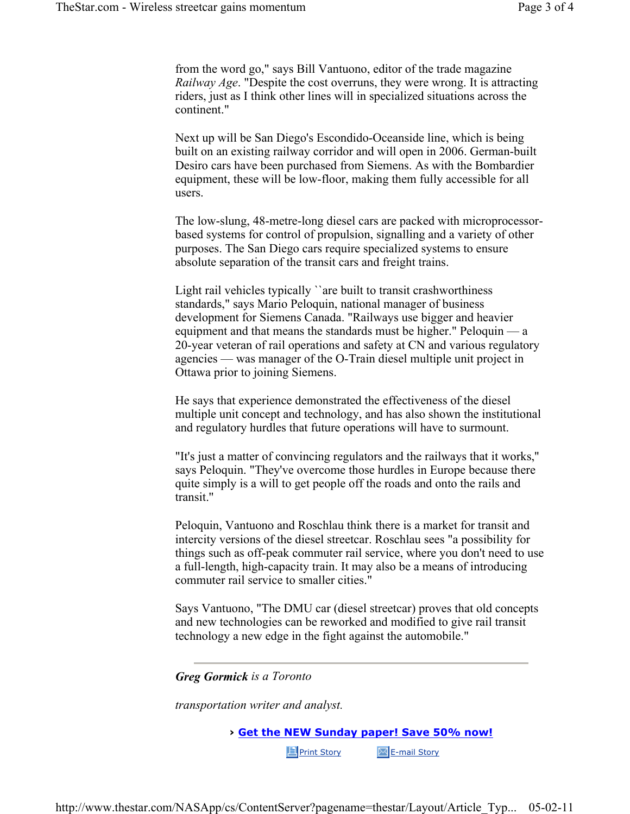from the word go," says Bill Vantuono, editor of the trade magazine *Railway Age*. "Despite the cost overruns, they were wrong. It is attracting riders, just as I think other lines will in specialized situations across the continent."

Next up will be San Diego's Escondido-Oceanside line, which is being built on an existing railway corridor and will open in 2006. German-built Desiro cars have been purchased from Siemens. As with the Bombardier equipment, these will be low-floor, making them fully accessible for all users.

The low-slung, 48-metre-long diesel cars are packed with microprocessorbased systems for control of propulsion, signalling and a variety of other purposes. The San Diego cars require specialized systems to ensure absolute separation of the transit cars and freight trains.

Light rail vehicles typically ``are built to transit crashworthiness standards," says Mario Peloquin, national manager of business development for Siemens Canada. "Railways use bigger and heavier equipment and that means the standards must be higher." Peloquin — a 20-year veteran of rail operations and safety at CN and various regulatory agencies — was manager of the O-Train diesel multiple unit project in Ottawa prior to joining Siemens.

He says that experience demonstrated the effectiveness of the diesel multiple unit concept and technology, and has also shown the institutional and regulatory hurdles that future operations will have to surmount.

"It's just a matter of convincing regulators and the railways that it works,'' says Peloquin. "They've overcome those hurdles in Europe because there quite simply is a will to get people off the roads and onto the rails and transit.''

Peloquin, Vantuono and Roschlau think there is a market for transit and intercity versions of the diesel streetcar. Roschlau sees "a possibility for things such as off-peak commuter rail service, where you don't need to use a full-length, high-capacity train. It may also be a means of introducing commuter rail service to smaller cities."

Says Vantuono, "The DMU car (diesel streetcar) proves that old concepts and new technologies can be reworked and modified to give rail transit technology a new edge in the fight against the automobile."

*Greg Gormick is a Toronto* 

*transportation writer and analyst.* 

**› Get the NEW Sunday paper! Save 50% now!**

**E** Print Story **E**-mail Story